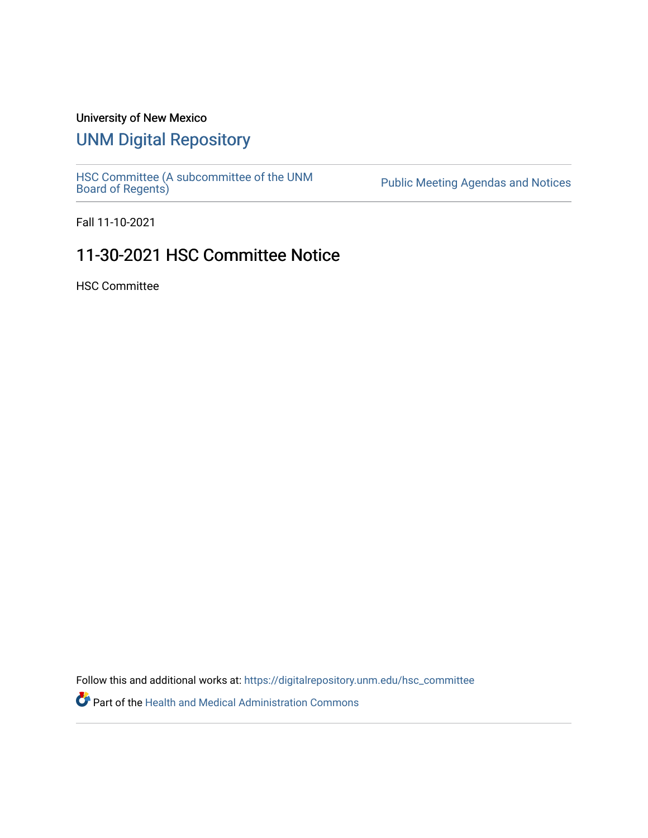## University of New Mexico

## [UNM Digital Repository](https://digitalrepository.unm.edu/)

[HSC Committee \(A subcommittee of the UNM](https://digitalrepository.unm.edu/hsc_committee) Public Meeting Agendas and Notices<br>[Board of Regents\)](https://digitalrepository.unm.edu/hsc_committee)

Fall 11-10-2021

## 11-30-2021 HSC Committee Notice

HSC Committee

Follow this and additional works at: [https://digitalrepository.unm.edu/hsc\\_committee](https://digitalrepository.unm.edu/hsc_committee?utm_source=digitalrepository.unm.edu%2Fhsc_committee%2F302&utm_medium=PDF&utm_campaign=PDFCoverPages) 

Part of the [Health and Medical Administration Commons](http://network.bepress.com/hgg/discipline/663?utm_source=digitalrepository.unm.edu%2Fhsc_committee%2F302&utm_medium=PDF&utm_campaign=PDFCoverPages)